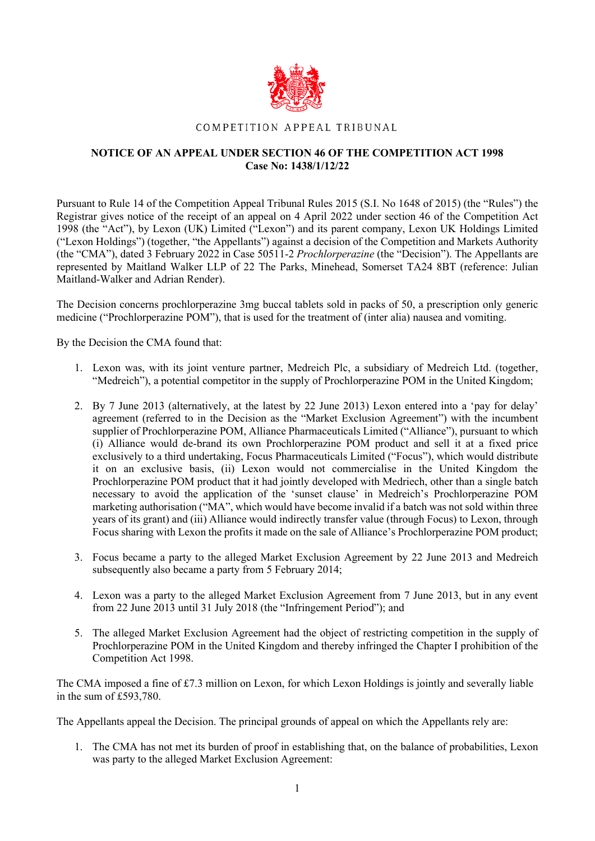

## COMPETITION APPEAL TRIBUNAL

## **NOTICE OF AN APPEAL UNDER SECTION 46 OF THE COMPETITION ACT 1998 Case No: 1438/1/12/22**

Pursuant to Rule 14 of the Competition Appeal Tribunal Rules 2015 (S.I. No 1648 of 2015) (the "Rules") the Registrar gives notice of the receipt of an appeal on 4 April 2022 under section 46 of the Competition Act 1998 (the "Act"), by Lexon (UK) Limited ("Lexon") and its parent company, Lexon UK Holdings Limited ("Lexon Holdings") (together, "the Appellants") against a decision of the Competition and Markets Authority (the "CMA"), dated 3 February 2022 in Case 50511-2 *Prochlorperazine* (the "Decision"). The Appellants are represented by Maitland Walker LLP of 22 The Parks, Minehead, Somerset TA24 8BT (reference: Julian Maitland-Walker and Adrian Render).

The Decision concerns prochlorperazine 3mg buccal tablets sold in packs of 50, a prescription only generic medicine ("Prochlorperazine POM"), that is used for the treatment of (inter alia) nausea and vomiting.

By the Decision the CMA found that:

- 1. Lexon was, with its joint venture partner, Medreich Plc, a subsidiary of Medreich Ltd. (together, "Medreich"), a potential competitor in the supply of Prochlorperazine POM in the United Kingdom;
- 2. By 7 June 2013 (alternatively, at the latest by 22 June 2013) Lexon entered into a 'pay for delay' agreement (referred to in the Decision as the "Market Exclusion Agreement") with the incumbent supplier of Prochlorperazine POM, Alliance Pharmaceuticals Limited ("Alliance"), pursuant to which (i) Alliance would de-brand its own Prochlorperazine POM product and sell it at a fixed price exclusively to a third undertaking, Focus Pharmaceuticals Limited ("Focus"), which would distribute it on an exclusive basis, (ii) Lexon would not commercialise in the United Kingdom the Prochlorperazine POM product that it had jointly developed with Medriech, other than a single batch necessary to avoid the application of the 'sunset clause' in Medreich's Prochlorperazine POM marketing authorisation ("MA", which would have become invalid if a batch was not sold within three years of its grant) and (iii) Alliance would indirectly transfer value (through Focus) to Lexon, through Focus sharing with Lexon the profits it made on the sale of Alliance's Prochlorperazine POM product;
- 3. Focus became a party to the alleged Market Exclusion Agreement by 22 June 2013 and Medreich subsequently also became a party from 5 February 2014;
- 4. Lexon was a party to the alleged Market Exclusion Agreement from 7 June 2013, but in any event from 22 June 2013 until 31 July 2018 (the "Infringement Period"); and
- 5. The alleged Market Exclusion Agreement had the object of restricting competition in the supply of Prochlorperazine POM in the United Kingdom and thereby infringed the Chapter I prohibition of the Competition Act 1998.

The CMA imposed a fine of £7.3 million on Lexon, for which Lexon Holdings is jointly and severally liable in the sum of £593,780.

The Appellants appeal the Decision. The principal grounds of appeal on which the Appellants rely are:

1. The CMA has not met its burden of proof in establishing that, on the balance of probabilities, Lexon was party to the alleged Market Exclusion Agreement: